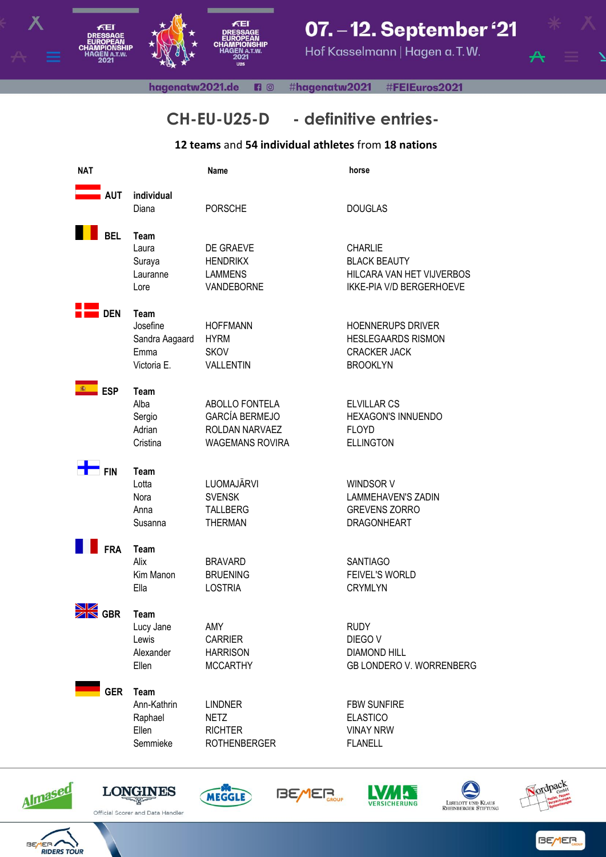

## 07. - 12. September '21

Hof Kasselmann | Hagen a.T.W.

hagenatw2021.de **B** © #hagenatw2021 #FEIEuros2021

## **CH-EU-U25-D - definitive entries-**

## **12 teams** and **54 individual athletes** from **18 nations**

| <b>NAT</b> |                                                           | Name                                                                                | horse                                                                                                 |
|------------|-----------------------------------------------------------|-------------------------------------------------------------------------------------|-------------------------------------------------------------------------------------------------------|
| <b>AUT</b> | individual<br>Diana                                       | <b>PORSCHE</b>                                                                      | <b>DOUGLAS</b>                                                                                        |
| <b>BEL</b> | Team<br>Laura<br>Suraya<br>Lauranne<br>Lore               | DE GRAEVE<br><b>HENDRIKX</b><br><b>LAMMENS</b><br>VANDEBORNE                        | <b>CHARLIE</b><br><b>BLACK BEAUTY</b><br>HILCARA VAN HET VIJVERBOS<br><b>IKKE-PIA V/D BERGERHOEVE</b> |
| <b>DEN</b> | Team<br>Josefine<br>Sandra Aagaard<br>Emma<br>Victoria E. | <b>HOFFMANN</b><br><b>HYRM</b><br><b>SKOV</b><br>VALLENTIN                          | <b>HOENNERUPS DRIVER</b><br><b>HESLEGAARDS RISMON</b><br><b>CRACKER JACK</b><br><b>BROOKLYN</b>       |
| <b>ESP</b> | Team<br>Alba<br>Sergio<br>Adrian<br>Cristina              | ABOLLO FONTELA<br><b>GARCÍA BERMEJO</b><br>ROLDAN NARVAEZ<br><b>WAGEMANS ROVIRA</b> | <b>ELVILLAR CS</b><br><b>HEXAGON'S INNUENDO</b><br><b>FLOYD</b><br><b>ELLINGTON</b>                   |
| <b>FIN</b> | Team<br>Lotta<br>Nora<br>Anna<br>Susanna                  | LUOMAJÄRVI<br><b>SVENSK</b><br><b>TALLBERG</b><br><b>THERMAN</b>                    | WINDSOR V<br><b>LAMMEHAVEN'S ZADIN</b><br><b>GREVENS ZORRO</b><br><b>DRAGONHEART</b>                  |
| <b>FRA</b> | Team<br>Alix<br>Kim Manon<br>Ella                         | <b>BRAVARD</b><br><b>BRUENING</b><br><b>LOSTRIA</b>                                 | <b>SANTIAGO</b><br><b>FEIVEL'S WORLD</b><br><b>CRYMLYN</b>                                            |
| <b>GBR</b> | Team<br>Lucy Jane<br>Lewis<br>Alexander<br>Ellen          | AMY<br><b>CARRIER</b><br><b>HARRISON</b><br><b>MCCARTHY</b>                         | <b>RUDY</b><br>DIEGO V<br><b>DIAMOND HILL</b><br>GB LONDERO V. WORRENBERG                             |
| <b>GER</b> | Team<br>Ann-Kathrin<br>Raphael<br>Ellen<br>Semmieke       | <b>LINDNER</b><br><b>NETZ</b><br><b>RICHTER</b><br><b>ROTHENBERGER</b>              | <b>FBW SUNFIRE</b><br><b>ELASTICO</b><br><b>VINAY NRW</b><br><b>FLANELL</b>                           |